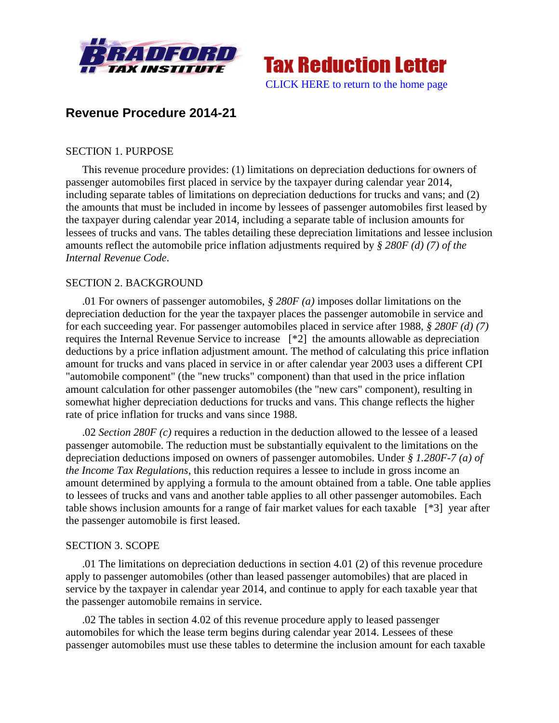



# **Revenue Procedure 2014-21**

#### SECTION 1. PURPOSE

This revenue procedure provides: (1) limitations on depreciation deductions for owners of passenger automobiles first placed in service by the taxpayer during calendar year 2014, including separate tables of limitations on depreciation deductions for trucks and vans; and (2) the amounts that must be included in income by lessees of passenger automobiles first leased by the taxpayer during calendar year 2014, including a separate table of inclusion amounts for lessees of trucks and vans. The tables detailing these depreciation limitations and lessee inclusion amounts reflect the automobile price inflation adjustments required by *§ 280F (d) (7) of the Internal Revenue Code*.

#### SECTION 2. BACKGROUND

.01 For owners of passenger automobiles, *§ 280F (a)* imposes dollar limitations on the depreciation deduction for the year the taxpayer places the passenger automobile in service and for each succeeding year. For passenger automobiles placed in service after 1988, *§ 280F (d) (7)* requires the Internal Revenue Service to increase [\*2] the amounts allowable as depreciation deductions by a price inflation adjustment amount. The method of calculating this price inflation amount for trucks and vans placed in service in or after calendar year 2003 uses a different CPI "automobile component" (the "new trucks" component) than that used in the price inflation amount calculation for other passenger automobiles (the "new cars" component), resulting in somewhat higher depreciation deductions for trucks and vans. This change reflects the higher rate of price inflation for trucks and vans since 1988.

.02 *Section 280F (c)* requires a reduction in the deduction allowed to the lessee of a leased passenger automobile. The reduction must be substantially equivalent to the limitations on the depreciation deductions imposed on owners of passenger automobiles. Under *§ 1.280F-7 (a) of the Income Tax Regulations*, this reduction requires a lessee to include in gross income an amount determined by applying a formula to the amount obtained from a table. One table applies to lessees of trucks and vans and another table applies to all other passenger automobiles. Each table shows inclusion amounts for a range of fair market values for each taxable [\*3] year after the passenger automobile is first leased.

#### SECTION 3. SCOPE

.01 The limitations on depreciation deductions in section 4.01 (2) of this revenue procedure apply to passenger automobiles (other than leased passenger automobiles) that are placed in service by the taxpayer in calendar year 2014, and continue to apply for each taxable year that the passenger automobile remains in service.

.02 The tables in section 4.02 of this revenue procedure apply to leased passenger automobiles for which the lease term begins during calendar year 2014. Lessees of these passenger automobiles must use these tables to determine the inclusion amount for each taxable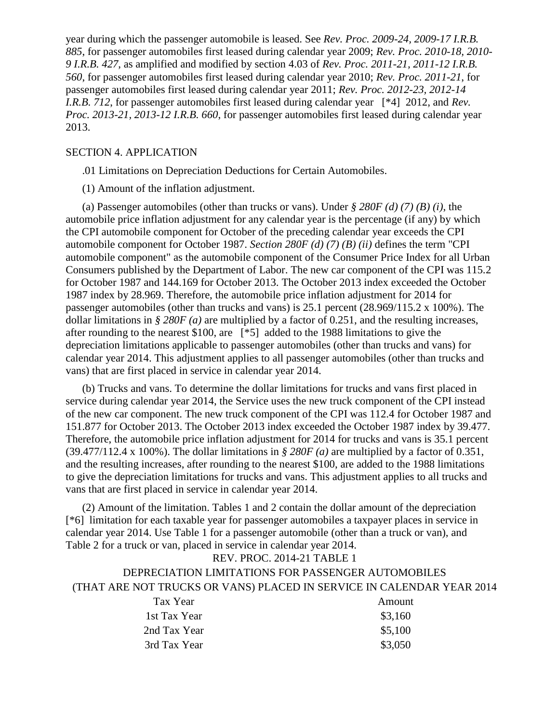year during which the passenger automobile is leased. See *Rev. Proc. 2009-24, 2009-17 I.R.B. 885*, for passenger automobiles first leased during calendar year 2009; *Rev. Proc. 2010-18, 2010- 9 I.R.B. 427*, as amplified and modified by section 4.03 of *Rev. Proc. 2011-21, 2011-12 I.R.B. 560*, for passenger automobiles first leased during calendar year 2010; *Rev. Proc. 2011-21*, for passenger automobiles first leased during calendar year 2011; *Rev. Proc. 2012-23, 2012-14 I.R.B. 712*, for passenger automobiles first leased during calendar year [\*4] 2012, and *Rev. Proc. 2013-21, 2013-12 I.R.B. 660*, for passenger automobiles first leased during calendar year 2013.

#### SECTION 4. APPLICATION

.01 Limitations on Depreciation Deductions for Certain Automobiles.

(1) Amount of the inflation adjustment.

(a) Passenger automobiles (other than trucks or vans). Under *§ 280F (d) (7) (B) (i)*, the automobile price inflation adjustment for any calendar year is the percentage (if any) by which the CPI automobile component for October of the preceding calendar year exceeds the CPI automobile component for October 1987. *Section 280F (d) (7) (B) (ii)* defines the term "CPI automobile component" as the automobile component of the Consumer Price Index for all Urban Consumers published by the Department of Labor. The new car component of the CPI was 115.2 for October 1987 and 144.169 for October 2013. The October 2013 index exceeded the October 1987 index by 28.969. Therefore, the automobile price inflation adjustment for 2014 for passenger automobiles (other than trucks and vans) is 25.1 percent (28.969/115.2 x 100%). The dollar limitations in *§ 280F (a)* are multiplied by a factor of 0.251, and the resulting increases, after rounding to the nearest \$100, are [\*5] added to the 1988 limitations to give the depreciation limitations applicable to passenger automobiles (other than trucks and vans) for calendar year 2014. This adjustment applies to all passenger automobiles (other than trucks and vans) that are first placed in service in calendar year 2014.

(b) Trucks and vans. To determine the dollar limitations for trucks and vans first placed in service during calendar year 2014, the Service uses the new truck component of the CPI instead of the new car component. The new truck component of the CPI was 112.4 for October 1987 and 151.877 for October 2013. The October 2013 index exceeded the October 1987 index by 39.477. Therefore, the automobile price inflation adjustment for 2014 for trucks and vans is 35.1 percent (39.477/112.4 x 100%). The dollar limitations in *§ 280F (a)* are multiplied by a factor of 0.351, and the resulting increases, after rounding to the nearest \$100, are added to the 1988 limitations to give the depreciation limitations for trucks and vans. This adjustment applies to all trucks and vans that are first placed in service in calendar year 2014.

(2) Amount of the limitation. Tables 1 and 2 contain the dollar amount of the depreciation [\*6] limitation for each taxable year for passenger automobiles a taxpayer places in service in calendar year 2014. Use Table 1 for a passenger automobile (other than a truck or van), and Table 2 for a truck or van, placed in service in calendar year 2014.

# REV. PROC. 2014-21 TABLE 1 DEPRECIATION LIMITATIONS FOR PASSENGER AUTOMOBILES (THAT ARE NOT TRUCKS OR VANS) PLACED IN SERVICE IN CALENDAR YEAR 2014 Tax Year Amount

| 1st Tax Year | \$3,160 |
|--------------|---------|
| 2nd Tax Year | \$5,100 |
| 3rd Tax Year | \$3,050 |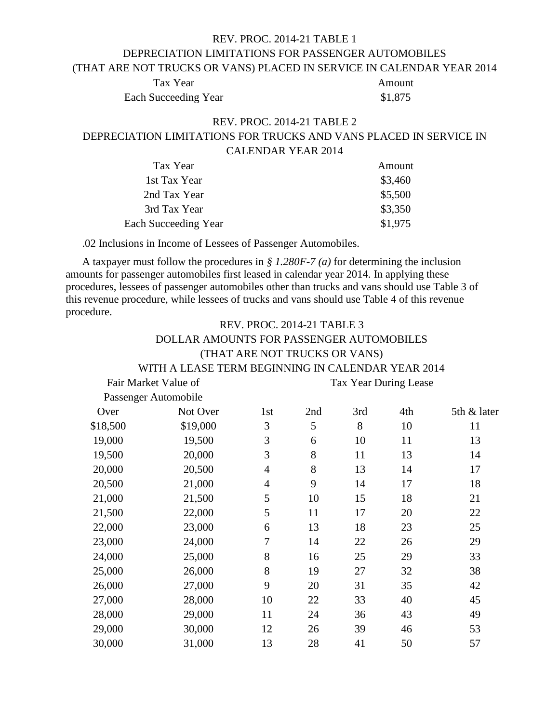# REV. PROC. 2014-21 TABLE 1 DEPRECIATION LIMITATIONS FOR PASSENGER AUTOMOBILES (THAT ARE NOT TRUCKS OR VANS) PLACED IN SERVICE IN CALENDAR YEAR 2014

Tax Year Amount Each Succeeding Year \$1,875

### REV. PROC. 2014-21 TABLE 2 DEPRECIATION LIMITATIONS FOR TRUCKS AND VANS PLACED IN SERVICE IN CALENDAR YEAR 2014

| Tax Year                    | Amount  |
|-----------------------------|---------|
| 1st Tax Year                | \$3,460 |
| 2nd Tax Year                | \$5,500 |
| 3rd Tax Year                | \$3,350 |
| <b>Each Succeeding Year</b> | \$1,975 |

.02 Inclusions in Income of Lessees of Passenger Automobiles.

A taxpayer must follow the procedures in *§ 1.280F-7 (a)* for determining the inclusion amounts for passenger automobiles first leased in calendar year 2014. In applying these procedures, lessees of passenger automobiles other than trucks and vans should use Table 3 of this revenue procedure, while lessees of trucks and vans should use Table 4 of this revenue procedure.  $R$ EV. POOC. 2014-21 TABLE 2

|          |                                                   | REV. PROC. 2014-21 TABLE 3    |     |     |                       |             |
|----------|---------------------------------------------------|-------------------------------|-----|-----|-----------------------|-------------|
|          | DOLLAR AMOUNTS FOR PASSENGER AUTOMOBILES          |                               |     |     |                       |             |
|          |                                                   | (THAT ARE NOT TRUCKS OR VANS) |     |     |                       |             |
|          | WITH A LEASE TERM BEGINNING IN CALENDAR YEAR 2014 |                               |     |     |                       |             |
|          | Fair Market Value of                              |                               |     |     | Tax Year During Lease |             |
|          | Passenger Automobile                              |                               |     |     |                       |             |
| Over     | Not Over                                          | 1st                           | 2nd | 3rd | 4th                   | 5th & later |
| \$18,500 | \$19,000                                          | 3                             | 5   | 8   | 10                    | 11          |
| 19,000   | 19,500                                            | 3                             | 6   | 10  | 11                    | 13          |
| 19,500   | 20,000                                            | 3                             | 8   | 11  | 13                    | 14          |
| 20,000   | 20,500                                            | $\overline{4}$                | 8   | 13  | 14                    | 17          |
| 20,500   | 21,000                                            | $\overline{4}$                | 9   | 14  | 17                    | 18          |
| 21,000   | 21,500                                            | 5                             | 10  | 15  | 18                    | 21          |
| 21,500   | 22,000                                            | 5                             | 11  | 17  | 20                    | 22          |
| 22,000   | 23,000                                            | 6                             | 13  | 18  | 23                    | 25          |
| 23,000   | 24,000                                            | 7                             | 14  | 22  | 26                    | 29          |
| 24,000   | 25,000                                            | 8                             | 16  | 25  | 29                    | 33          |
| 25,000   | 26,000                                            | 8                             | 19  | 27  | 32                    | 38          |
| 26,000   | 27,000                                            | 9                             | 20  | 31  | 35                    | 42          |
| 27,000   | 28,000                                            | 10                            | 22  | 33  | 40                    | 45          |
| 28,000   | 29,000                                            | 11                            | 24  | 36  | 43                    | 49          |
| 29,000   | 30,000                                            | 12                            | 26  | 39  | 46                    | 53          |
| 30,000   | 31,000                                            | 13                            | 28  | 41  | 50                    | 57          |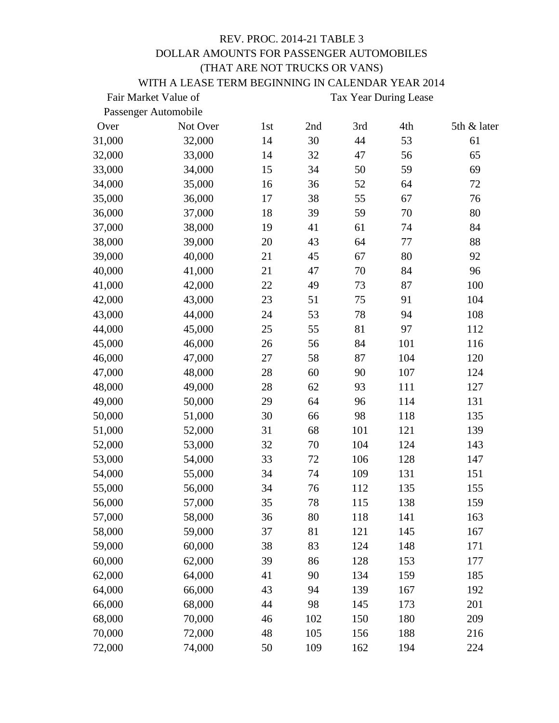#### REV. PROC. 2014-21 TABLE 3 DOLLAR AMOUNTS FOR PASSENGER AUTOMOBILES (THAT ARE NOT TRUCKS OR VANS) WITH A LEASE TERM BEGINNING IN CALENDAR VEAR 2014

| WITH A LEASE TERM BEGINNING IN CALENDAR YEAR 2014 |  |
|---------------------------------------------------|--|
|                                                   |  |

|        | Fair Market Value of<br>Tax Year During Lease |     |     |     |     |             |
|--------|-----------------------------------------------|-----|-----|-----|-----|-------------|
|        | Passenger Automobile                          |     |     |     |     |             |
| Over   | Not Over                                      | 1st | 2nd | 3rd | 4th | 5th & later |
| 31,000 | 32,000                                        | 14  | 30  | 44  | 53  | 61          |
| 32,000 | 33,000                                        | 14  | 32  | 47  | 56  | 65          |
| 33,000 | 34,000                                        | 15  | 34  | 50  | 59  | 69          |
| 34,000 | 35,000                                        | 16  | 36  | 52  | 64  | 72          |
| 35,000 | 36,000                                        | 17  | 38  | 55  | 67  | 76          |
| 36,000 | 37,000                                        | 18  | 39  | 59  | 70  | 80          |
| 37,000 | 38,000                                        | 19  | 41  | 61  | 74  | 84          |
| 38,000 | 39,000                                        | 20  | 43  | 64  | 77  | 88          |
| 39,000 | 40,000                                        | 21  | 45  | 67  | 80  | 92          |
| 40,000 | 41,000                                        | 21  | 47  | 70  | 84  | 96          |
| 41,000 | 42,000                                        | 22  | 49  | 73  | 87  | 100         |
| 42,000 | 43,000                                        | 23  | 51  | 75  | 91  | 104         |
| 43,000 | 44,000                                        | 24  | 53  | 78  | 94  | 108         |
| 44,000 | 45,000                                        | 25  | 55  | 81  | 97  | 112         |
| 45,000 | 46,000                                        | 26  | 56  | 84  | 101 | 116         |
| 46,000 | 47,000                                        | 27  | 58  | 87  | 104 | 120         |
| 47,000 | 48,000                                        | 28  | 60  | 90  | 107 | 124         |
| 48,000 | 49,000                                        | 28  | 62  | 93  | 111 | 127         |
| 49,000 | 50,000                                        | 29  | 64  | 96  | 114 | 131         |
| 50,000 | 51,000                                        | 30  | 66  | 98  | 118 | 135         |
| 51,000 | 52,000                                        | 31  | 68  | 101 | 121 | 139         |
| 52,000 | 53,000                                        | 32  | 70  | 104 | 124 | 143         |
| 53,000 | 54,000                                        | 33  | 72  | 106 | 128 | 147         |
| 54,000 | 55,000                                        | 34  | 74  | 109 | 131 | 151         |
| 55,000 | 56,000                                        | 34  | 76  | 112 | 135 | 155         |
| 56,000 | 57,000                                        | 35  | 78  | 115 | 138 | 159         |
| 57,000 | 58,000                                        | 36  | 80  | 118 | 141 | 163         |
| 58,000 | 59,000                                        | 37  | 81  | 121 | 145 | 167         |
| 59,000 | 60,000                                        | 38  | 83  | 124 | 148 | 171         |
| 60,000 | 62,000                                        | 39  | 86  | 128 | 153 | 177         |
| 62,000 | 64,000                                        | 41  | 90  | 134 | 159 | 185         |
| 64,000 | 66,000                                        | 43  | 94  | 139 | 167 | 192         |
| 66,000 | 68,000                                        | 44  | 98  | 145 | 173 | 201         |
| 68,000 | 70,000                                        | 46  | 102 | 150 | 180 | 209         |
| 70,000 | 72,000                                        | 48  | 105 | 156 | 188 | 216         |
| 72,000 | 74,000                                        | 50  | 109 | 162 | 194 | 224         |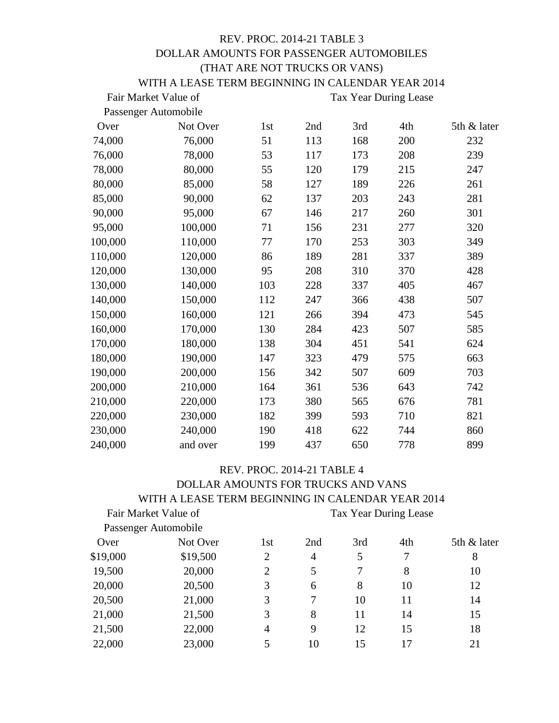### REV. PROC. 2014-21 TABLE 3 DOLLAR AMOUNTS FOR PASSENGER AUTOMOBILES (THAT ARE NOT TRUCKS OR VANS) WITH A LEASE TERM BEGINNING IN CALENDAR YEAR 2014

|         | Fair Market Value of | Tax Year During Lease |     |     |     |             |
|---------|----------------------|-----------------------|-----|-----|-----|-------------|
|         | Passenger Automobile |                       |     |     |     |             |
| Over    | Not Over             | 1st                   | 2nd | 3rd | 4th | 5th & later |
| 74,000  | 76,000               | 51                    | 113 | 168 | 200 | 232         |
| 76,000  | 78,000               | 53                    | 117 | 173 | 208 | 239         |
| 78,000  | 80,000               | 55                    | 120 | 179 | 215 | 247         |
| 80,000  | 85,000               | 58                    | 127 | 189 | 226 | 261         |
| 85,000  | 90,000               | 62                    | 137 | 203 | 243 | 281         |
| 90,000  | 95,000               | 67                    | 146 | 217 | 260 | 301         |
| 95,000  | 100,000              | 71                    | 156 | 231 | 277 | 320         |
| 100,000 | 110,000              | 77                    | 170 | 253 | 303 | 349         |
| 110,000 | 120,000              | 86                    | 189 | 281 | 337 | 389         |
| 120,000 | 130,000              | 95                    | 208 | 310 | 370 | 428         |
| 130,000 | 140,000              | 103                   | 228 | 337 | 405 | 467         |
| 140,000 | 150,000              | 112                   | 247 | 366 | 438 | 507         |
| 150,000 | 160,000              | 121                   | 266 | 394 | 473 | 545         |
| 160,000 | 170,000              | 130                   | 284 | 423 | 507 | 585         |
| 170,000 | 180,000              | 138                   | 304 | 451 | 541 | 624         |
| 180,000 | 190,000              | 147                   | 323 | 479 | 575 | 663         |
| 190,000 | 200,000              | 156                   | 342 | 507 | 609 | 703         |
| 200,000 | 210,000              | 164                   | 361 | 536 | 643 | 742         |
| 210,000 | 220,000              | 173                   | 380 | 565 | 676 | 781         |
| 220,000 | 230,000              | 182                   | 399 | 593 | 710 | 821         |
| 230,000 | 240,000              | 190                   | 418 | 622 | 744 | 860         |
| 240,000 | and over             | 199                   | 437 | 650 | 778 | 899         |

## REV. PROC. 2014-21 TABLE 4 DOLLAR AMOUNTS FOR TRUCKS AND VANS WITH A LEASE TERM BEGINNING IN CALENDAR YEAR 2014

|          | Fair Market Value of | Tax Year During Lease |     |     |     |             |
|----------|----------------------|-----------------------|-----|-----|-----|-------------|
|          | Passenger Automobile |                       |     |     |     |             |
| Over     | Not Over             | 1st                   | 2nd | 3rd | 4th | 5th & later |
| \$19,000 | \$19,500             | $\overline{2}$        | 4   | 5   | 7   | 8           |
| 19,500   | 20,000               | $\overline{2}$        | 5   | 7   | 8   | 10          |
| 20,000   | 20,500               | 3                     | 6   | 8   | 10  | 12          |
| 20,500   | 21,000               | 3                     | 7   | 10  | 11  | 14          |
| 21,000   | 21,500               | 3                     | 8   | 11  | 14  | 15          |
| 21,500   | 22,000               | $\overline{4}$        | 9   | 12  | 15  | 18          |
| 22,000   | 23,000               | 5                     | 10  | 15  | 17  | 21          |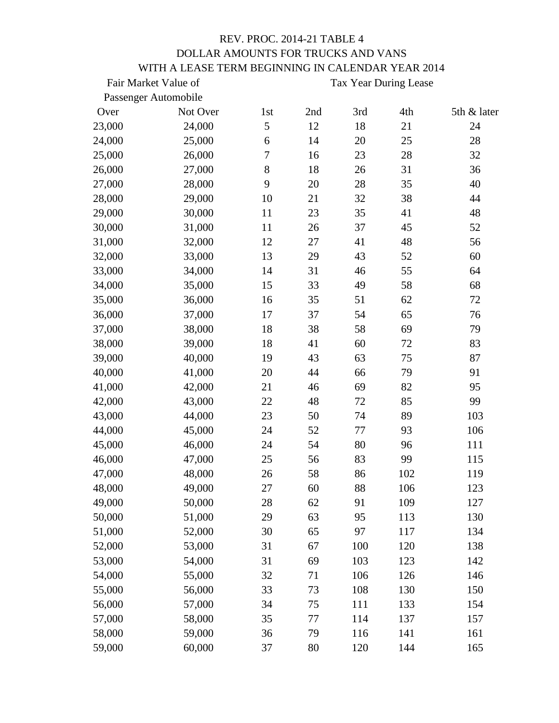## REV. PROC. 2014-21 TABLE 4 DOLLAR AMOUNTS FOR TRUCKS AND VANS WITH A LEASE TERM BEGINNING IN CALENDAR YEAR 2014

|        | Fair Market Value of | Tax Year During Lease |     |     |     |             |
|--------|----------------------|-----------------------|-----|-----|-----|-------------|
|        | Passenger Automobile |                       |     |     |     |             |
| Over   | Not Over             | 1st                   | 2nd | 3rd | 4th | 5th & later |
| 23,000 | 24,000               | 5                     | 12  | 18  | 21  | 24          |
| 24,000 | 25,000               | 6                     | 14  | 20  | 25  | 28          |
| 25,000 | 26,000               | $\overline{7}$        | 16  | 23  | 28  | 32          |
| 26,000 | 27,000               | 8                     | 18  | 26  | 31  | 36          |
| 27,000 | 28,000               | 9                     | 20  | 28  | 35  | 40          |
| 28,000 | 29,000               | 10                    | 21  | 32  | 38  | 44          |
| 29,000 | 30,000               | 11                    | 23  | 35  | 41  | 48          |
| 30,000 | 31,000               | 11                    | 26  | 37  | 45  | 52          |
| 31,000 | 32,000               | 12                    | 27  | 41  | 48  | 56          |
| 32,000 | 33,000               | 13                    | 29  | 43  | 52  | 60          |
| 33,000 | 34,000               | 14                    | 31  | 46  | 55  | 64          |
| 34,000 | 35,000               | 15                    | 33  | 49  | 58  | 68          |
| 35,000 | 36,000               | 16                    | 35  | 51  | 62  | 72          |
| 36,000 | 37,000               | 17                    | 37  | 54  | 65  | 76          |
| 37,000 | 38,000               | 18                    | 38  | 58  | 69  | 79          |
| 38,000 | 39,000               | 18                    | 41  | 60  | 72  | 83          |
| 39,000 | 40,000               | 19                    | 43  | 63  | 75  | 87          |
| 40,000 | 41,000               | 20                    | 44  | 66  | 79  | 91          |
| 41,000 | 42,000               | 21                    | 46  | 69  | 82  | 95          |
| 42,000 | 43,000               | 22                    | 48  | 72  | 85  | 99          |
| 43,000 | 44,000               | 23                    | 50  | 74  | 89  | 103         |
| 44,000 | 45,000               | 24                    | 52  | 77  | 93  | 106         |
| 45,000 | 46,000               | 24                    | 54  | 80  | 96  | 111         |
| 46,000 | 47,000               | 25                    | 56  | 83  | 99  | 115         |
| 47,000 | 48,000               | 26                    | 58  | 86  | 102 | 119         |
| 48,000 | 49,000               | 27                    | 60  | 88  | 106 | 123         |
| 49,000 | 50,000               | 28                    | 62  | 91  | 109 | 127         |
| 50,000 | 51,000               | 29                    | 63  | 95  | 113 | 130         |
| 51,000 | 52,000               | 30                    | 65  | 97  | 117 | 134         |
| 52,000 | 53,000               | 31                    | 67  | 100 | 120 | 138         |
| 53,000 | 54,000               | 31                    | 69  | 103 | 123 | 142         |
| 54,000 | 55,000               | 32                    | 71  | 106 | 126 | 146         |
| 55,000 | 56,000               | 33                    | 73  | 108 | 130 | 150         |
| 56,000 | 57,000               | 34                    | 75  | 111 | 133 | 154         |
| 57,000 | 58,000               | 35                    | 77  | 114 | 137 | 157         |
| 58,000 | 59,000               | 36                    | 79  | 116 | 141 | 161         |
| 59,000 | 60,000               | 37                    | 80  | 120 | 144 | 165         |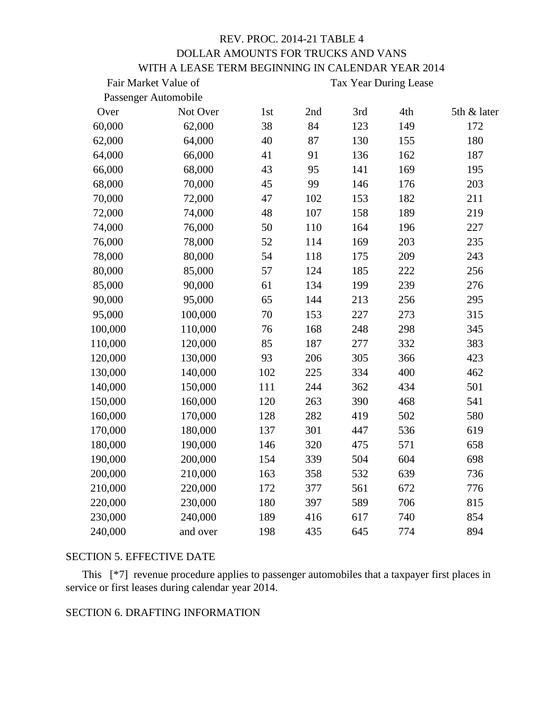# REV. PROC. 2014-21 TABLE 4 DOLLAR AMOUNTS FOR TRUCKS AND VANS WITH A LEASE TERM BEGINNING IN CALENDAR YEAR 2014

|         | Fair Market Value of | Tax Year During Lease |     |     |     |             |
|---------|----------------------|-----------------------|-----|-----|-----|-------------|
|         | Passenger Automobile |                       |     |     |     |             |
| Over    | Not Over             | 1st                   | 2nd | 3rd | 4th | 5th & later |
| 60,000  | 62,000               | 38                    | 84  | 123 | 149 | 172         |
| 62,000  | 64,000               | 40                    | 87  | 130 | 155 | 180         |
| 64,000  | 66,000               | 41                    | 91  | 136 | 162 | 187         |
| 66,000  | 68,000               | 43                    | 95  | 141 | 169 | 195         |
| 68,000  | 70,000               | 45                    | 99  | 146 | 176 | 203         |
| 70,000  | 72,000               | 47                    | 102 | 153 | 182 | 211         |
| 72,000  | 74,000               | 48                    | 107 | 158 | 189 | 219         |
| 74,000  | 76,000               | 50                    | 110 | 164 | 196 | 227         |
| 76,000  | 78,000               | 52                    | 114 | 169 | 203 | 235         |
| 78,000  | 80,000               | 54                    | 118 | 175 | 209 | 243         |
| 80,000  | 85,000               | 57                    | 124 | 185 | 222 | 256         |
| 85,000  | 90,000               | 61                    | 134 | 199 | 239 | 276         |
| 90,000  | 95,000               | 65                    | 144 | 213 | 256 | 295         |
| 95,000  | 100,000              | 70                    | 153 | 227 | 273 | 315         |
| 100,000 | 110,000              | 76                    | 168 | 248 | 298 | 345         |
| 110,000 | 120,000              | 85                    | 187 | 277 | 332 | 383         |
| 120,000 | 130,000              | 93                    | 206 | 305 | 366 | 423         |
| 130,000 | 140,000              | 102                   | 225 | 334 | 400 | 462         |
| 140,000 | 150,000              | 111                   | 244 | 362 | 434 | 501         |
| 150,000 | 160,000              | 120                   | 263 | 390 | 468 | 541         |
| 160,000 | 170,000              | 128                   | 282 | 419 | 502 | 580         |
| 170,000 | 180,000              | 137                   | 301 | 447 | 536 | 619         |
| 180,000 | 190,000              | 146                   | 320 | 475 | 571 | 658         |
| 190,000 | 200,000              | 154                   | 339 | 504 | 604 | 698         |
| 200,000 | 210,000              | 163                   | 358 | 532 | 639 | 736         |
| 210,000 | 220,000              | 172                   | 377 | 561 | 672 | 776         |
| 220,000 | 230,000              | 180                   | 397 | 589 | 706 | 815         |
| 230,000 | 240,000              | 189                   | 416 | 617 | 740 | 854         |
| 240,000 | and over             | 198                   | 435 | 645 | 774 | 894         |

#### SECTION 5. EFFECTIVE DATE

This [\*7] revenue procedure applies to passenger automobiles that a taxpayer first places in service or first leases during calendar year 2014.

#### SECTION 6. DRAFTING INFORMATION